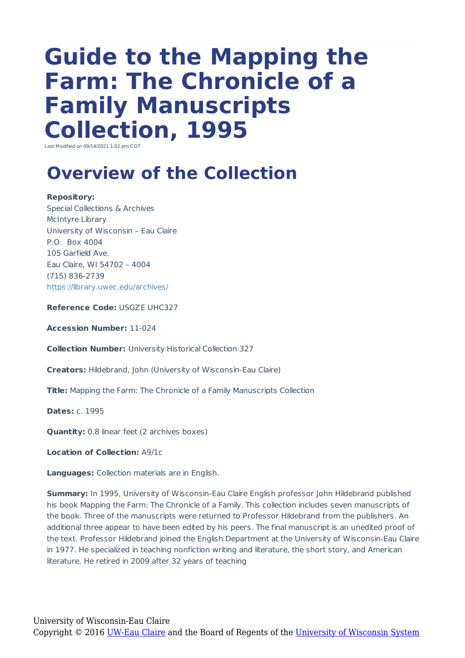# **Guide to the Mapping the Farm: The Chronicle of a Family Manuscripts Collection, 1995**

Last Modified on  $09/14/2021$  1:02 pm  $O$ 

### **Overview of the Collection**

**Repository:** Special Collections & Archives McIntyre Library University of Wisconsin – Eau Claire P.O. Box 4004 105 Garfield Ave. Eau Claire, WI 54702 – 4004 (715) 836-2739 https://library.uwec.edu/archives/

**Reference Code:** USGZE UHC327

**Accession Number:** 11-024

**Collection Number:** University Historical Collection 327

**Creators:** Hildebrand, John (University of Wisconsin-Eau Claire)

**Title:** Mapping the Farm: The Chronicle of a Family Manuscripts Collection

**Dates:** c. 1995

**Quantity:** 0.8 linear feet (2 archives boxes)

**Location of Collection:** A9/1c

**Languages:** Collection materials are in English.

**Summary:** In 1995, University of Wisconsin-Eau Claire English professor John Hildebrand published his book Mapping the Farm: The Chronicle of a Family. This collection includes seven manuscripts of the book. Three of the manuscripts were returned to Professor Hildebrand from the publishers. An additional three appear to have been edited by his peers. The final manuscript is an unedited proof of the text. Professor Hildebrand joined the English Department at the University of Wisconsin-Eau Claire in 1977. He specialized in teaching nonfiction writing and literature, the short story, and American literature. He retired in 2009 after 32 years of teaching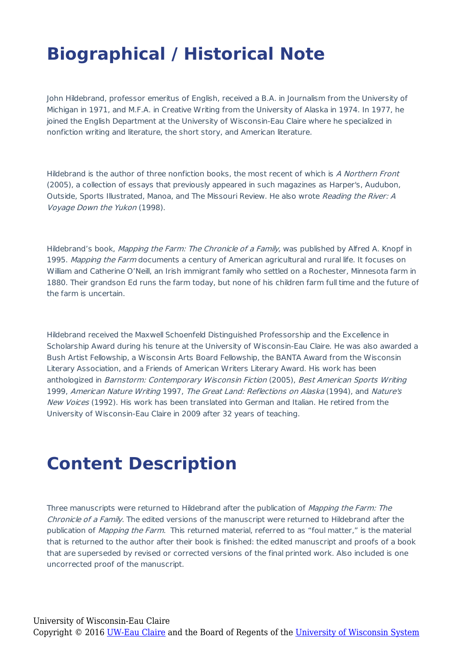## **Biographical / Historical Note**

John Hildebrand, professor emeritus of English, received a B.A. in Journalism from the University of Michigan in 1971, and M.F.A. in Creative Writing from the University of Alaska in 1974. In 1977, he joined the English Department at the University of Wisconsin-Eau Claire where he specialized in nonfiction writing and literature, the short story, and American literature.

Hildebrand is the author of three nonfiction books, the most recent of which is A Northern Front (2005), a collection of essays that previously appeared in such magazines as Harper's, Audubon, Outside, Sports Illustrated, Manoa, and The Missouri Review. He also wrote Reading the River: A Voyage Down the Yukon (1998).

Hildebrand's book, Mapping the Farm: The Chronicle of a Family, was published by Alfred A. Knopf in 1995. Mapping the Farm documents a century of American agricultural and rural life. It focuses on William and Catherine O'Neill, an Irish immigrant family who settled on a Rochester, Minnesota farm in 1880. Their grandson Ed runs the farm today, but none of his children farm full time and the future of the farm is uncertain.

Hildebrand received the Maxwell Schoenfeld Distinguished Professorship and the Excellence in Scholarship Award during his tenure at the University of Wisconsin-Eau Claire. He was also awarded a Bush Artist Fellowship, a Wisconsin Arts Board Fellowship, the BANTA Award from the Wisconsin Literary Association, and a Friends of American Writers Literary Award. His work has been anthologized in Barnstorm: Contemporary Wisconsin Fiction (2005), Best American Sports Writing 1999, American Nature Writing 1997, The Great Land: Reflections on Alaska (1994), and Nature's New Voices (1992). His work has been translated into German and Italian. He retired from the University of Wisconsin-Eau Claire in 2009 after 32 years of teaching.

### **Content Description**

Three manuscripts were returned to Hildebrand after the publication of Mapping the Farm: The Chronicle of a Family. The edited versions of the manuscript were returned to Hildebrand after the publication of Mapping the Farm. This returned material, referred to as "foul matter," is the material that is returned to the author after their book is finished: the edited manuscript and proofs of a book that are superseded by revised or corrected versions of the final printed work. Also included is one uncorrected proof of the manuscript.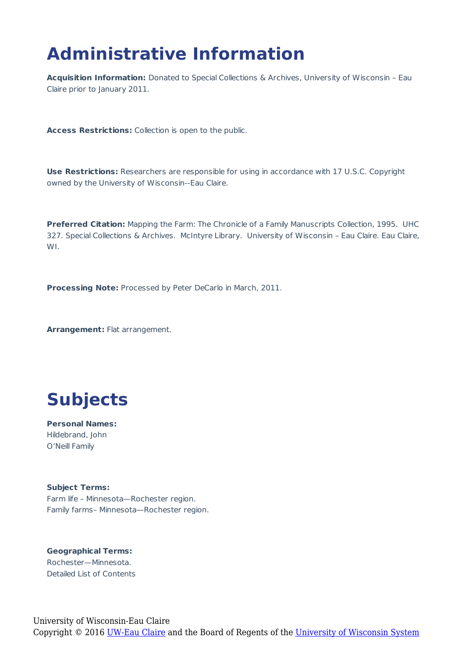## **Administrative Information**

**Acquisition Information:** Donated to Special Collections & Archives, University of Wisconsin – Eau Claire prior to January 2011.

**Access Restrictions:** Collection is open to the public.

**Use Restrictions:** Researchers are responsible for using in accordance with 17 U.S.C. Copyright owned by the University of Wisconsin--Eau Claire.

**Preferred Citation:** Mapping the Farm: The Chronicle of a Family Manuscripts Collection, 1995. UHC 327. Special Collections & Archives. McIntyre Library. University of Wisconsin – Eau Claire. Eau Claire, WI.

**Processing Note:** Processed by Peter DeCarlo in March, 2011.

**Arrangement:** Flat arrangement.



**Personal Names:** Hildebrand, John O'Neill Family

**Subject Terms:** Farm life – Minnesota—Rochester region. Family farms– Minnesota—Rochester region.

**Geographical Terms:** Rochester—Minnesota. Detailed List of Contents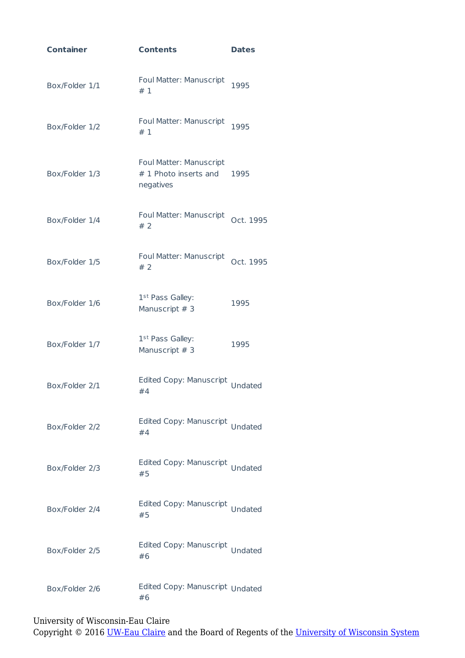| <b>Container</b> | <b>Contents</b>                                               | <b>Dates</b> |
|------------------|---------------------------------------------------------------|--------------|
| Box/Folder 1/1   | Foul Matter: Manuscript<br>#1                                 | 1995         |
| Box/Folder 1/2   | <b>Foul Matter: Manuscript</b><br>#1                          | 1995         |
| Box/Folder 1/3   | Foul Matter: Manuscript<br># 1 Photo inserts and<br>negatives | 1995         |
| Box/Folder 1/4   | Foul Matter: Manuscript<br>#2                                 | Oct. 1995    |
| Box/Folder 1/5   | Foul Matter: Manuscript<br>#2                                 | Oct. 1995    |
| Box/Folder 1/6   | 1 <sup>st</sup> Pass Galley:<br>Manuscript # 3                | 1995         |
| Box/Folder 1/7   | 1 <sup>st</sup> Pass Galley:<br>Manuscript # 3                | 1995         |
| Box/Folder 2/1   | <b>Edited Copy: Manuscript</b><br>#4                          | Undated      |
| Box/Folder 2/2   | <b>Edited Copy: Manuscript</b><br>#4                          | Undated      |
| Box/Folder 2/3   | <b>Edited Copy: Manuscript</b><br>#5                          | Undated      |
| Box/Folder 2/4   | <b>Edited Copy: Manuscript</b><br>#5                          | Undated      |
| Box/Folder 2/5   | <b>Edited Copy: Manuscript</b><br>#6                          | Undated      |
| Box/Folder 2/6   | Edited Copy: Manuscript Undated<br>#6                         |              |